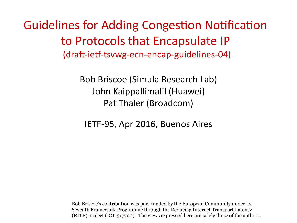Guidelines for Adding Congestion Notification to Protocols that Encapsulate IP (draft-ietf-tsvwg-ecn-encap-guidelines-04)

> Bob Briscoe (Simula Research Lab) John Kaippallimalil (Huawei) Pat Thaler (Broadcom)

IETF-95, Apr 2016, Buenos Aires

Bob Briscoe's contribution was part-funded by the European Community under its Seventh Framework Programme through the Reducing Internet Transport Latency (RITE) project (ICT-317700). The views expressed here are solely those of the authors.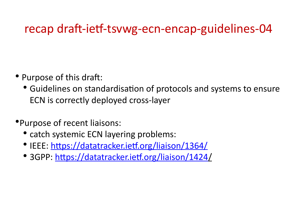## recap draft-ietf-tsvwg-ecn-encap-guidelines-04

- Purpose of this draft:
	- Guidelines on standardisation of protocols and systems to ensure ECN is correctly deployed cross-layer
- •Purpose of recent liaisons:
	- catch systemic ECN layering problems:
	- IEEE:<https://datatracker.ietf.org/liaison/1364/>
	- 3GPP:<https://datatracker.ietf.org/liaison/1424/>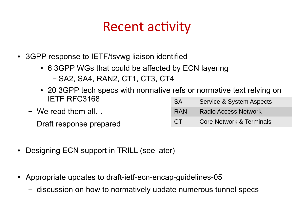# Recent activity

- 3GPP response to IETF/tsvwg liaison identified
	- 6 3GPP WGs that could be affected by ECN layering
		- SA2, SA4, RAN2, CT1, CT3, CT4
	- 20 3GPP tech specs with normative refs or normative text relying on IETF RFC3168 SA Service & System Aspects
	- We read them all… – Draft response prepared RAN Radio Access Network CT Core Network & Terminals
- Designing ECN support in TRILL (see later)
- Appropriate updates to draft-ietf-ecn-encap-guidelines-05
	- discussion on how to normatively update numerous tunnel specs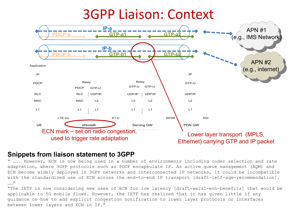

#### **Snippets from liaison statement to 3GPP**

" ….. However, ECN is now being used in a number of environments including coder selection and rate adaptation, where 3GPP protocols such as PDCP encapsulate IP. As active queue management (AQM) and ECN become widely deployed in 3GPP networks and interconnected IP networks, it could be incompatible with the standardized use of ECN across the end-to-end IP transport [draft-ietf-aqm-recommendation]. ……"

"The IETF is now considering new uses of ECN for low latency [draft-welzl-ecn-benefits] that would be applicable to 5G mobile flows. However, the IETF has realized that it has given little if any guidance on how to add explicit congestion notification to lower layer protocols or interfaces between lower layers and ECN in IP."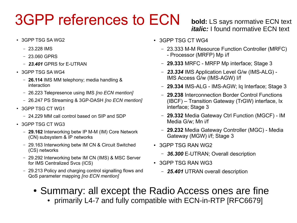# 3GPP references to ECN

- 3GPP TSG SA WG2
	- 23.228 IMS
	- 23.060 GPRS
	- *23.401* GPRS for E-UTRAN
- 3GPP TSG SA WG4
	- **26.114** IMS MM telephony; media handling & interaction
	- 26.223 Telepresence using IMS *[no ECN mention]*
	- 26.247 PS Streaming & 3GP-DASH *[no ECN mention]*
- 3GPP TSG CT WG1
	- 24.229 MM call control based on SIP and SDP
- 3GPP TSG CT WG3
	- **29.162** Interworking betw IP M-M (IM) Core Network (CN) subsystem & IP networks
	- 29.163 Interworking betw IM CN & Circuit Switched (CS) networks
	- 29.292 Interworking betw IM CN (IMS) & MSC Server for IMS Centralized Svcs (ICS)
	- 29.213 Policy and charging control signalling flows and QoS parameter mapping *[no ECN mention]*
- **bold:** LS says normative ECN text *italic:* I found normative ECN text
- 3GPP TSG CT WG4
	- 23.333 M-M Resource Function Controller (MRFC) - Processor (MRFP) Mp i/f
	- **29.333** MRFC MRFP Mp interface; Stage 3
	- *23.334* IMS Application Level G/w (IMS-ALG) IMS Access G/w (IMS-AGW) I/f
	- **29.334** IMS-ALG IMS-AGW; Iq Interface; Stage 3
	- **29.238** Interconnection Border Control Functions (IBCF) – Transition Gateway (TrGW) interface, Ix interface; Stage 3
	- **29.332** Media Gateway Ctrl Function (MGCF) IM Media G/w; Mn i/f
	- **29.232** Media Gateway Controller (MGC) Media Gateway (MGW) i/f; Stage 3
- 3GPP TSG RAN WG2
	- *36.300* E-UTRAN; Overall description
- 3GPP TSG RAN WG3
	- *25.401* UTRAN overall description
- Summary: all except the Radio Access ones are fine
	- primarily L4-7 and fully compatible with ECN-in-RTP [RFC6679]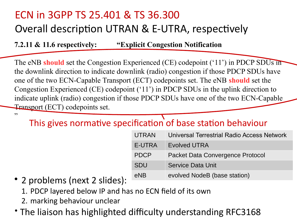### ECN in 3GPP TS 25.401 & TS 36.300 Overall description UTRAN & E-UTRA, respectively

**7.2.11 & 11.6 respectively: "Explicit Congestion Notification**

The eNB **should** set the Congestion Experienced (CE) codepoint ('11') in PDCP SDUs in the downlink direction to indicate downlink (radio) congestion if those PDCP SDUs have one of the two ECN-Capable Transport (ECT) codepoints set. The eNB **should** set the Congestion Experienced (CE) codepoint ('11') in PDCP SDUs in the uplink direction to indicate uplink (radio) congestion if those PDCP SDUs have one of the two ECN-Capable Transport (ECT) codepoints set.

"

#### This gives normative specification of base station behaviour

| <b>UTRAN</b> | Universal Terrestrial Radio Access Network |
|--------------|--------------------------------------------|
| E-UTRA       | <b>Evolved UTRA</b>                        |
| <b>PDCP</b>  | Packet Data Convergence Protocol           |
| <b>SDU</b>   | Service Data Unit                          |
| eNB          | evolved NodeB (base station)               |

- 2 problems (next 2 slides):
	- 1. PDCP layered below IP and has no ECN field of its own
	- 2. marking behaviour unclear
- The liaison has highlighted difficulty understanding RFC3168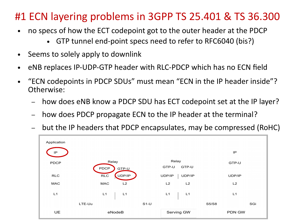#### #1 ECN layering problems in 3GPP TS 25.401 & TS 36.300

- no specs of how the ECT codepoint got to the outer header at the PDCP
	- GTP tunnel end-point specs need to refer to RFC6040 (bis?)
- Seems to solely apply to downlink
- eNB replaces IP-UDP-GTP header with RLC-PDCP which has no ECN field
- $\bullet$ "ECN codepoints in PDCP SDUs" must mean "ECN in the IP header inside"? Otherwise:
	- how does eNB know a PDCP SDU has ECT codepoint set at the IP layer?
	- how does PDCP propagate ECN to the IP header at the terminal?
	- but the IP headers that PDCP encapsulates, may be compressed (RoHC)

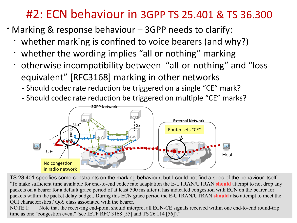### #2: ECN behaviour in 3GPP TS 25.401 & TS 36.300

- Marking & response behaviour 3GPP needs to clarify:
	- whether marking is confined to voice bearers (and why?)
	- whether the wording implies "all or nothing" marking
	- otherwise incompatibility between "all-or-nothing" and "lossequivalent" [RFC3168] marking in other networks
		- Should codec rate reduction be triggered on a single "CE" mark?
		- Should codec rate reduction be triggered on multiple "CE" marks?



TS 23.401 specifies some constraints on the marking behaviour, but I could not find a spec of the behaviour itself: "To make sufficient time available for end-to-end codec rate adaptation the E-UTRAN/UTRAN **should** attempt to not drop any packets on a bearer for a default grace period of at least 500 ms after it has indicated congestion with ECN on the bearer for packets within the packet delay budget. During this ECN grace period the E-UTRAN/UTRAN **should** also attempt to meet the QCI characteristics / QoS class associated with the bearer.

NOTE 1: Note that the receiving end-point should interpret all ECN-CE signals received within one end-to-end round-trip time as one "congestion event" (see IETF RFC 3168 [55] and TS 26.114 [56])."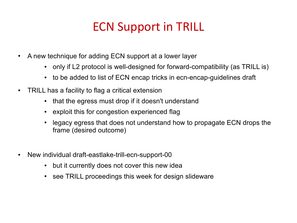# ECN Support in TRILL

- A new technique for adding ECN support at a lower layer
	- only if L2 protocol is well-designed for forward-compatibility (as TRILL is)
	- to be added to list of ECN encap tricks in ecn-encap-guidelines draft
- TRILL has a facility to flag a critical extension
	- that the egress must drop if it doesn't understand
	- exploit this for congestion experienced flag
	- legacy egress that does not understand how to propagate ECN drops the frame (desired outcome)
- New individual draft-eastlake-trill-ecn-support-00
	- but it currently does not cover this new idea
	- see TRILL proceedings this week for design slideware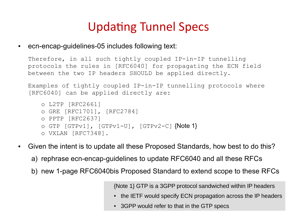## Updating Tunnel Specs

ecn-encap-guidelines-05 includes following text:

Therefore, in all such tightly coupled IP-in-IP tunnelling protocols the rules in [RFC6040] for propagating the ECN field between the two IP headers SHOULD be applied directly.

Examples of tightly coupled IP-in-IP tunnelling protocols where [RFC6040] can be applied directly are:

```
o L2TP [RFC2661]
o GRE [RFC1701], [RFC2784]
o PPTP [RFC2637]
\circ GTP [GTPv1], [GTPv1-U], [GTPv2-C] {Note 1}
o VXLAN [RFC7348].
```
- Given the intent is to update all these Proposed Standards, how best to do this?
	- a) rephrase ecn-encap-guidelines to update RFC6040 and all these RFCs
	- b) new 1-page RFC6040bis Proposed Standard to extend scope to these RFCs

{Note 1} GTP is a 3GPP protocol sandwiched within IP headers

- the IETF would specify ECN propagation across the IP headers
- 3GPP would refer to that in the GTP specs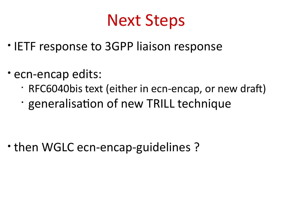# Next Steps

- IETF response to 3GPP liaison response
- ecn-encap edits:
	- RFC6040bis text (either in ecn-encap, or new draft)
	- generalisation of new TRILL technique

• then WGLC ecn-encap-guidelines ?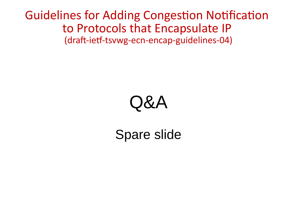Guidelines for Adding Congestion Notification to Protocols that Encapsulate IP (draft-ietf-tsvwg-ecn-encap-guidelines-04)

# $\mathcal{B}$   $\mathcal{A}$

# Spare slide